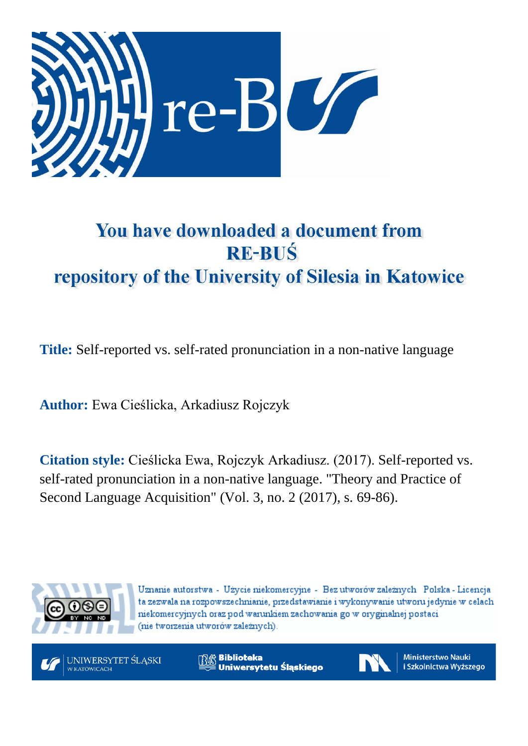

# You have downloaded a document from **RE-BUŚ** repository of the University of Silesia in Katowice

**Title:** Self-reported vs. self-rated pronunciation in a non-native language

**Author:** Ewa Cieślicka, Arkadiusz Rojczyk

**Citation style:** Cieślicka Ewa, Rojczyk Arkadiusz. (2017). Self-reported vs. self-rated pronunciation in a non-native language. "Theory and Practice of Second Language Acquisition" (Vol. 3, no. 2 (2017), s. 69-86).



Uznanie autorstwa - Użycie niekomercyjne - Bez utworów zależnych Polska - Licencja ta zezwala na rozpowszechnianie, przedstawianie i wykonywanie utworu jedynie w celach niekomercyjnych oraz pod warunkiem zachowania go w oryginalnej postaci (nie tworzenia utworów zależnych).



**Biblioteka** Uniwersytetu Śląskiego



**Ministerstwo Nauki** i Szkolnictwa Wyższego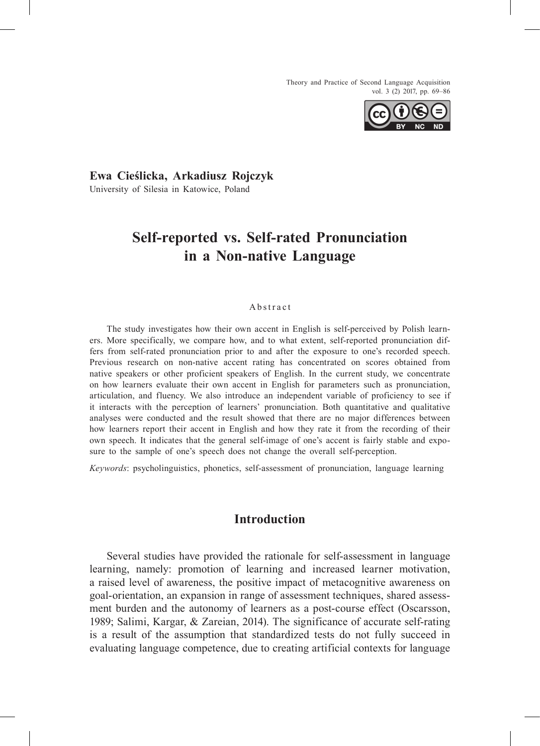Theory and Practice of Second Language Acquisition vol. 3 (2) 2017, pp. 69–86



# **Ewa Cieślicka, Arkadiusz Rojczyk** University of Silesia in Katowice, Poland

# **Self-reported vs. Self-rated Pronunciation in a Non-native Language**

#### A b s t r a c t

The study investigates how their own accent in English is self-perceived by Polish learners. More specifically, we compare how, and to what extent, self-reported pronunciation differs from self-rated pronunciation prior to and after the exposure to one's recorded speech. Previous research on non-native accent rating has concentrated on scores obtained from native speakers or other proficient speakers of English. In the current study, we concentrate on how learners evaluate their own accent in English for parameters such as pronunciation, articulation, and fluency. We also introduce an independent variable of proficiency to see if it interacts with the perception of learners' pronunciation. Both quantitative and qualitative analyses were conducted and the result showed that there are no major differences between how learners report their accent in English and how they rate it from the recording of their own speech. It indicates that the general self-image of one's accent is fairly stable and exposure to the sample of one's speech does not change the overall self-perception.

*Keywords*: psycholinguistics, phonetics, self-assessment of pronunciation, language learning

# **Introduction**

Several studies have provided the rationale for self-assessment in language learning, namely: promotion of learning and increased learner motivation, a raised level of awareness, the positive impact of metacognitive awareness on goal-orientation, an expansion in range of assessment techniques, shared assessment burden and the autonomy of learners as a post-course effect (Oscarsson, 1989; Salimi, Kargar, & Zareian, 2014). The significance of accurate self-rating is a result of the assumption that standardized tests do not fully succeed in evaluating language competence, due to creating artificial contexts for language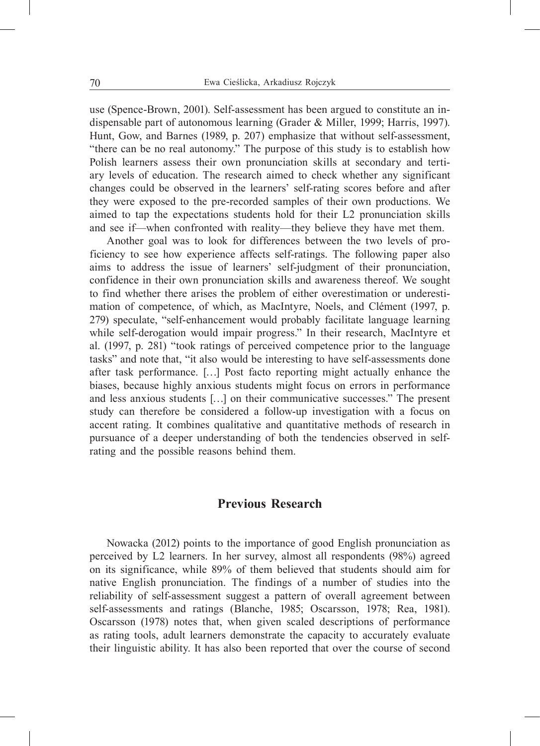use (Spence-Brown, 2001). Self-assessment has been argued to constitute an indispensable part of autonomous learning (Grader & Miller, 1999; Harris, 1997). Hunt, Gow, and Barnes (1989, p. 207) emphasize that without self-assessment, "there can be no real autonomy." The purpose of this study is to establish how Polish learners assess their own pronunciation skills at secondary and tertiary levels of education. The research aimed to check whether any significant changes could be observed in the learners' self-rating scores before and after they were exposed to the pre-recorded samples of their own productions. We aimed to tap the expectations students hold for their L2 pronunciation skills and see if—when confronted with reality—they believe they have met them.

Another goal was to look for differences between the two levels of proficiency to see how experience affects self-ratings. The following paper also aims to address the issue of learners' self-judgment of their pronunciation, confidence in their own pronunciation skills and awareness thereof. We sought to find whether there arises the problem of either overestimation or underestimation of competence, of which, as MacIntyre, Noels, and Clément (1997, p. 279) speculate, "self-enhancement would probably facilitate language learning while self-derogation would impair progress." In their research, MacIntyre et al. (1997, p. 281) "took ratings of perceived competence prior to the language tasks" and note that, "it also would be interesting to have self-assessments done after task performance. […] Post facto reporting might actually enhance the biases, because highly anxious students might focus on errors in performance and less anxious students […] on their communicative successes." The present study can therefore be considered a follow-up investigation with a focus on accent rating. It combines qualitative and quantitative methods of research in pursuance of a deeper understanding of both the tendencies observed in selfrating and the possible reasons behind them.

## **Previous Research**

Nowacka (2012) points to the importance of good English pronunciation as perceived by L2 learners. In her survey, almost all respondents (98%) agreed on its significance, while 89% of them believed that students should aim for native English pronunciation. The findings of a number of studies into the reliability of self-assessment suggest a pattern of overall agreement between self-assessments and ratings (Blanche, 1985; Oscarsson, 1978; Rea, 1981). Oscarsson (1978) notes that, when given scaled descriptions of performance as rating tools, adult learners demonstrate the capacity to accurately evaluate their linguistic ability. It has also been reported that over the course of second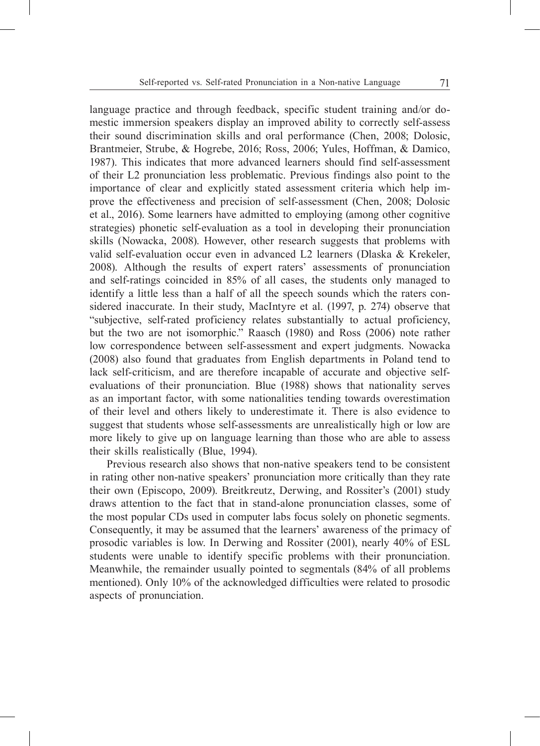language practice and through feedback, specific student training and/or domestic immersion speakers display an improved ability to correctly self-assess their sound discrimination skills and oral performance (Chen, 2008; Dolosic, Brantmeier, Strube, & Hogrebe, 2016; Ross, 2006; Yules, Hoffman, & Damico, 1987). This indicates that more advanced learners should find self-assessment of their L2 pronunciation less problematic. Previous findings also point to the importance of clear and explicitly stated assessment criteria which help improve the effectiveness and precision of self-assessment (Chen, 2008; Dolosic et al., 2016). Some learners have admitted to employing (among other cognitive strategies) phonetic self-evaluation as a tool in developing their pronunciation skills (Nowacka, 2008). However, other research suggests that problems with valid self-evaluation occur even in advanced L2 learners (Dlaska & Krekeler, 2008). Although the results of expert raters' assessments of pronunciation and self-ratings coincided in 85% of all cases, the students only managed to identify a little less than a half of all the speech sounds which the raters considered inaccurate. In their study, MacIntyre et al. (1997, p. 274) observe that "subjective, self-rated proficiency relates substantially to actual proficiency, but the two are not isomorphic." Raasch (1980) and Ross (2006) note rather low correspondence between self-assessment and expert judgments. Nowacka (2008) also found that graduates from English departments in Poland tend to lack self-criticism, and are therefore incapable of accurate and objective selfevaluations of their pronunciation. Blue (1988) shows that nationality serves as an important factor, with some nationalities tending towards overestimation of their level and others likely to underestimate it. There is also evidence to suggest that students whose self-assessments are unrealistically high or low are more likely to give up on language learning than those who are able to assess their skills realistically (Blue, 1994).

Previous research also shows that non-native speakers tend to be consistent in rating other non-native speakers' pronunciation more critically than they rate their own (Episcopo, 2009). Breitkreutz, Derwing, and Rossiter's (2001) study draws attention to the fact that in stand-alone pronunciation classes, some of the most popular CDs used in computer labs focus solely on phonetic segments. Consequently, it may be assumed that the learners' awareness of the primacy of prosodic variables is low. In Derwing and Rossiter (2001), nearly 40% of ESL students were unable to identify specific problems with their pronunciation. Meanwhile, the remainder usually pointed to segmentals (84% of all problems mentioned). Only 10% of the acknowledged difficulties were related to prosodic aspects of pronunciation.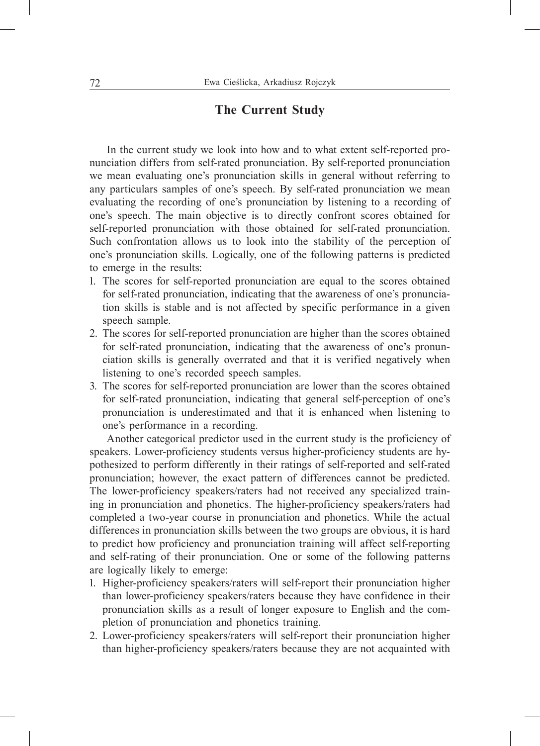# **The Current Study**

In the current study we look into how and to what extent self-reported pronunciation differs from self-rated pronunciation. By self-reported pronunciation we mean evaluating one's pronunciation skills in general without referring to any particulars samples of one's speech. By self-rated pronunciation we mean evaluating the recording of one's pronunciation by listening to a recording of one's speech. The main objective is to directly confront scores obtained for self-reported pronunciation with those obtained for self-rated pronunciation. Such confrontation allows us to look into the stability of the perception of one's pronunciation skills. Logically, one of the following patterns is predicted to emerge in the results:

- 1. The scores for self-reported pronunciation are equal to the scores obtained for self-rated pronunciation, indicating that the awareness of one's pronunciation skills is stable and is not affected by specific performance in a given speech sample.
- 2. The scores for self-reported pronunciation are higher than the scores obtained for self-rated pronunciation, indicating that the awareness of one's pronunciation skills is generally overrated and that it is verified negatively when listening to one's recorded speech samples.
- 3. The scores for self-reported pronunciation are lower than the scores obtained for self-rated pronunciation, indicating that general self-perception of one's pronunciation is underestimated and that it is enhanced when listening to one's performance in a recording.

Another categorical predictor used in the current study is the proficiency of speakers. Lower-proficiency students versus higher-proficiency students are hypothesized to perform differently in their ratings of self-reported and self-rated pronunciation; however, the exact pattern of differences cannot be predicted. The lower-proficiency speakers/raters had not received any specialized training in pronunciation and phonetics. The higher-proficiency speakers/raters had completed a two-year course in pronunciation and phonetics. While the actual differences in pronunciation skills between the two groups are obvious, it is hard to predict how proficiency and pronunciation training will affect self-reporting and self-rating of their pronunciation. One or some of the following patterns are logically likely to emerge:

- 1. Higher-proficiency speakers/raters will self-report their pronunciation higher than lower-proficiency speakers/raters because they have confidence in their pronunciation skills as a result of longer exposure to English and the completion of pronunciation and phonetics training.
- 2. Lower-proficiency speakers/raters will self-report their pronunciation higher than higher-proficiency speakers/raters because they are not acquainted with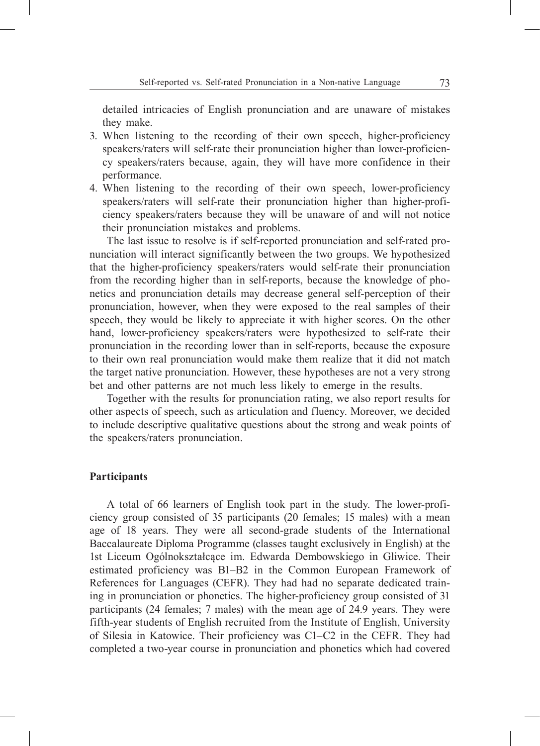detailed intricacies of English pronunciation and are unaware of mistakes they make.

- 3. When listening to the recording of their own speech, higher-proficiency speakers/raters will self-rate their pronunciation higher than lower-proficiency speakers/raters because, again, they will have more confidence in their performance.
- 4. When listening to the recording of their own speech, lower-proficiency speakers/raters will self-rate their pronunciation higher than higher-proficiency speakers/raters because they will be unaware of and will not notice their pronunciation mistakes and problems.

The last issue to resolve is if self-reported pronunciation and self-rated pronunciation will interact significantly between the two groups. We hypothesized that the higher-proficiency speakers/raters would self-rate their pronunciation from the recording higher than in self-reports, because the knowledge of phonetics and pronunciation details may decrease general self-perception of their pronunciation, however, when they were exposed to the real samples of their speech, they would be likely to appreciate it with higher scores. On the other hand, lower-proficiency speakers/raters were hypothesized to self-rate their pronunciation in the recording lower than in self-reports, because the exposure to their own real pronunciation would make them realize that it did not match the target native pronunciation. However, these hypotheses are not a very strong bet and other patterns are not much less likely to emerge in the results.

Together with the results for pronunciation rating, we also report results for other aspects of speech, such as articulation and fluency. Moreover, we decided to include descriptive qualitative questions about the strong and weak points of the speakers/raters pronunciation.

#### **Participants**

A total of 66 learners of English took part in the study. The lower-proficiency group consisted of 35 participants (20 females; 15 males) with a mean age of 18 years. They were all second-grade students of the International Baccalaureate Diploma Programme (classes taught exclusively in English) at the 1st Liceum Ogólnokształcące im. Edwarda Dembowskiego in Gliwice. Their estimated proficiency was B1–B2 in the Common European Framework of References for Languages (CEFR). They had had no separate dedicated training in pronunciation or phonetics. The higher-proficiency group consisted of 31 participants (24 females; 7 males) with the mean age of 24.9 years. They were fifth-year students of English recruited from the Institute of English, University of Silesia in Katowice. Their proficiency was C1–C2 in the CEFR. They had completed a two-year course in pronunciation and phonetics which had covered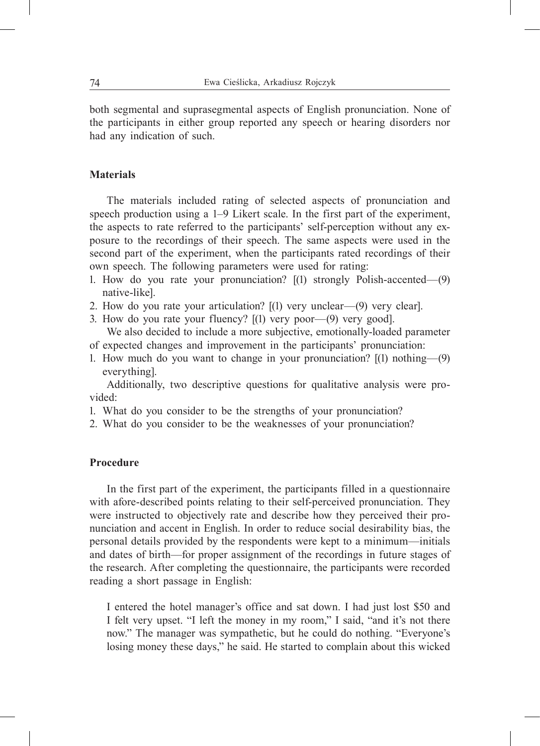both segmental and suprasegmental aspects of English pronunciation. None of the participants in either group reported any speech or hearing disorders nor had any indication of such.

#### **Materials**

The materials included rating of selected aspects of pronunciation and speech production using a 1–9 Likert scale. In the first part of the experiment, the aspects to rate referred to the participants' self-perception without any exposure to the recordings of their speech. The same aspects were used in the second part of the experiment, when the participants rated recordings of their own speech. The following parameters were used for rating:

- 1. How do you rate your pronunciation? [(1) strongly Polish-accented—(9) native-like].
- 2. How do you rate your articulation? [(1) very unclear—(9) very clear].
- 3. How do you rate your fluency? [(1) very poor—(9) very good].

We also decided to include a more subjective, emotionally-loaded parameter of expected changes and improvement in the participants' pronunciation:

1. How much do you want to change in your pronunciation? [(1) nothing—(9) everything].

Additionally, two descriptive questions for qualitative analysis were provided:

- 1. What do you consider to be the strengths of your pronunciation?
- 2. What do you consider to be the weaknesses of your pronunciation?

#### **Procedure**

In the first part of the experiment, the participants filled in a questionnaire with afore-described points relating to their self-perceived pronunciation. They were instructed to objectively rate and describe how they perceived their pronunciation and accent in English. In order to reduce social desirability bias, the personal details provided by the respondents were kept to a minimum—initials and dates of birth—for proper assignment of the recordings in future stages of the research. After completing the questionnaire, the participants were recorded reading a short passage in English:

I entered the hotel manager's office and sat down. I had just lost \$50 and I felt very upset. "I left the money in my room," I said, "and it's not there now." The manager was sympathetic, but he could do nothing. "Everyone's losing money these days," he said. He started to complain about this wicked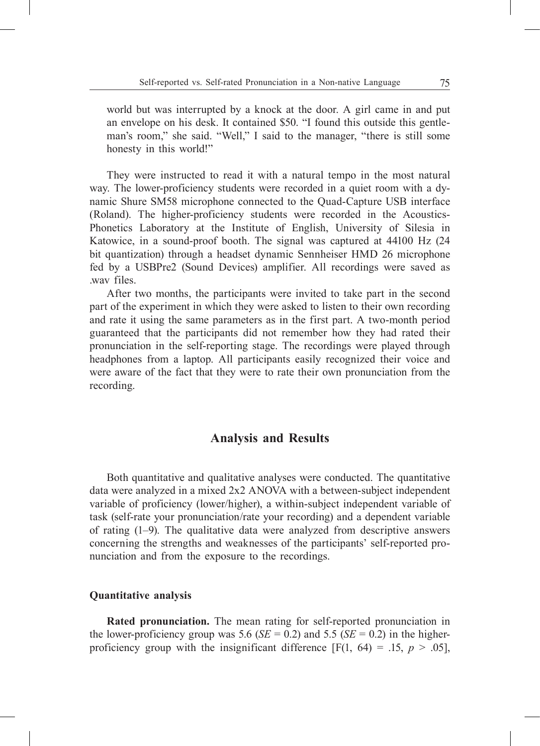world but was interrupted by a knock at the door. A girl came in and put an envelope on his desk. It contained \$50. "I found this outside this gentleman's room," she said. "Well," I said to the manager, "there is still some honesty in this world!"

They were instructed to read it with a natural tempo in the most natural way. The lower-proficiency students were recorded in a quiet room with a dynamic Shure SM58 microphone connected to the Quad-Capture USB interface (Roland). The higher-proficiency students were recorded in the Acoustics-Phonetics Laboratory at the Institute of English, University of Silesia in Katowice, in a sound-proof booth. The signal was captured at 44100 Hz (24 bit quantization) through a headset dynamic Sennheiser HMD 26 microphone fed by a USBPre2 (Sound Devices) amplifier. All recordings were saved as .wav files.

After two months, the participants were invited to take part in the second part of the experiment in which they were asked to listen to their own recording and rate it using the same parameters as in the first part. A two-month period guaranteed that the participants did not remember how they had rated their pronunciation in the self-reporting stage. The recordings were played through headphones from a laptop. All participants easily recognized their voice and were aware of the fact that they were to rate their own pronunciation from the recording.

# **Analysis and Results**

Both quantitative and qualitative analyses were conducted. The quantitative data were analyzed in a mixed 2x2 ANOVA with a between-subject independent variable of proficiency (lower/higher), a within-subject independent variable of task (self-rate your pronunciation/rate your recording) and a dependent variable of rating (1–9). The qualitative data were analyzed from descriptive answers concerning the strengths and weaknesses of the participants' self-reported pronunciation and from the exposure to the recordings.

#### **Quantitative analysis**

**Rated pronunciation.** The mean rating for self-reported pronunciation in the lower-proficiency group was 5.6 ( $SE = 0.2$ ) and 5.5 ( $SE = 0.2$ ) in the higherproficiency group with the insignificant difference  $[F(1, 64) = .15, p > .05]$ ,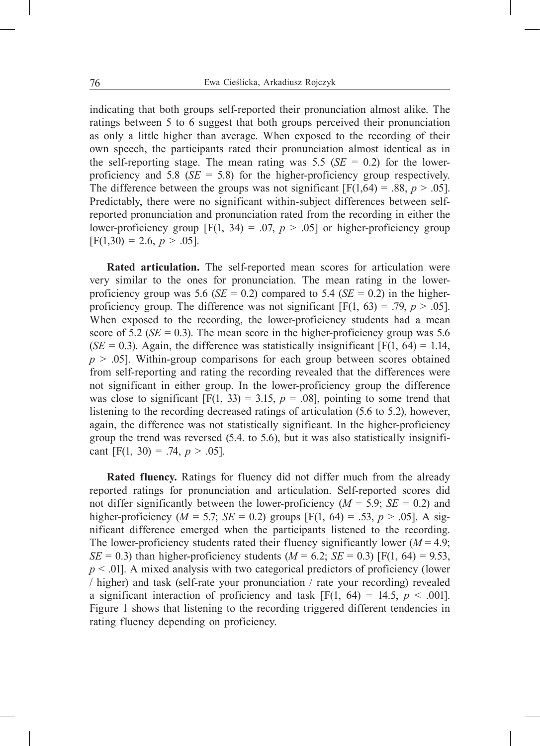indicating that both groups self-reported their pronunciation almost alike. The ratings between 5 to 6 suggest that both groups perceived their pronunciation as only a little higher than average. When exposed to the recording of their own speech, the participants rated their pronunciation almost identical as in the self-reporting stage. The mean rating was 5.5 ( $SE = 0.2$ ) for the lowerproficiency and 5.8 (*SE* = 5.8) for the higher-proficiency group respectively. The difference between the groups was not significant  $[F(1,64) = .88, p > .05]$ . Predictably, there were no significant within-subject differences between selfreported pronunciation and pronunciation rated from the recording in either the lower-proficiency group  $[F(1, 34) = .07, p > .05]$  or higher-proficiency group  $[F(1,30) = 2.6, p > .05].$ 

**Rated articulation.** The self-reported mean scores for articulation were very similar to the ones for pronunciation. The mean rating in the lowerproficiency group was 5.6 ( $SE = 0.2$ ) compared to 5.4 ( $SE = 0.2$ ) in the higherproficiency group. The difference was not significant  $[F(1, 63) = .79, p > .05]$ . When exposed to the recording, the lower-proficiency students had a mean score of 5.2 ( $SE = 0.3$ ). The mean score in the higher-proficiency group was 5.6  $(SE = 0.3)$ . Again, the difference was statistically insignificant [F(1, 64) = 1.14,  $p > .05$ . Within-group comparisons for each group between scores obtained from self-reporting and rating the recording revealed that the differences were not significant in either group. In the lower-proficiency group the difference was close to significant  $[F(1, 33) = 3.15, p = .08]$ , pointing to some trend that listening to the recording decreased ratings of articulation (5.6 to 5.2), however, again, the difference was not statistically significant. In the higher-proficiency group the trend was reversed (5.4. to 5.6), but it was also statistically insignificant [F(1, 30) = .74,  $p > .05$ ].

**Rated fluency.** Ratings for fluency did not differ much from the already reported ratings for pronunciation and articulation. Self-reported scores did not differ significantly between the lower-proficiency  $(M = 5.9; SE = 0.2)$  and higher-proficiency ( $M = 5.7$ ;  $SE = 0.2$ ) groups [F(1, 64) = .53,  $p > .05$ ]. A significant difference emerged when the participants listened to the recording. The lower-proficiency students rated their fluency significantly lower  $(M = 4.9;$ *SE* = 0.3) than higher-proficiency students ( $M = 6.2$ ; *SE* = 0.3) [F(1, 64) = 9.53, *p* < .01]. A mixed analysis with two categorical predictors of proficiency (lower / higher) and task (self-rate your pronunciation / rate your recording) revealed a significant interaction of proficiency and task  $[F(1, 64) = 14.5, p < .001]$ . Figure 1 shows that listening to the recording triggered different tendencies in rating fluency depending on proficiency.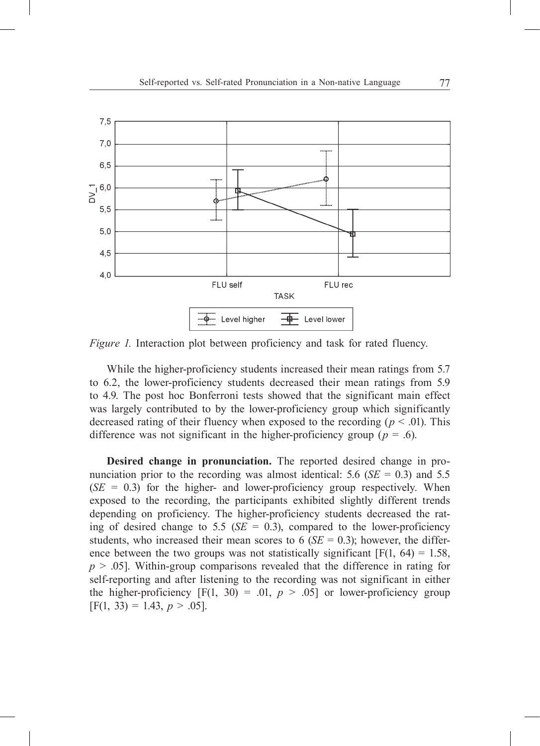

*Figure 1.* Interaction plot between proficiency and task for rated fluency.

While the higher-proficiency students increased their mean ratings from 5.7 to 6.2, the lower-proficiency students decreased their mean ratings from 5.9 to 4.9. The post hoc Bonferroni tests showed that the significant main effect was largely contributed to by the lower-proficiency group which significantly decreased rating of their fluency when exposed to the recording ( $p < .01$ ). This difference was not significant in the higher-proficiency group ( $p = .6$ ).

**Desired change in pronunciation.** The reported desired change in pronunciation prior to the recording was almost identical:  $5.6$  (*SE* = 0.3) and  $5.5$  $(SE = 0.3)$  for the higher- and lower-proficiency group respectively. When exposed to the recording, the participants exhibited slightly different trends depending on proficiency. The higher-proficiency students decreased the rating of desired change to 5.5 ( $SE = 0.3$ ), compared to the lower-proficiency students, who increased their mean scores to 6 ( $SE = 0.3$ ); however, the difference between the two groups was not statistically significant  $[F(1, 64) = 1.58]$ , *p* > .05]. Within-group comparisons revealed that the difference in rating for self-reporting and after listening to the recording was not significant in either the higher-proficiency  $[F(1, 30) = .01, p > .05]$  or lower-proficiency group  $[F(1, 33) = 1.43, p > .05].$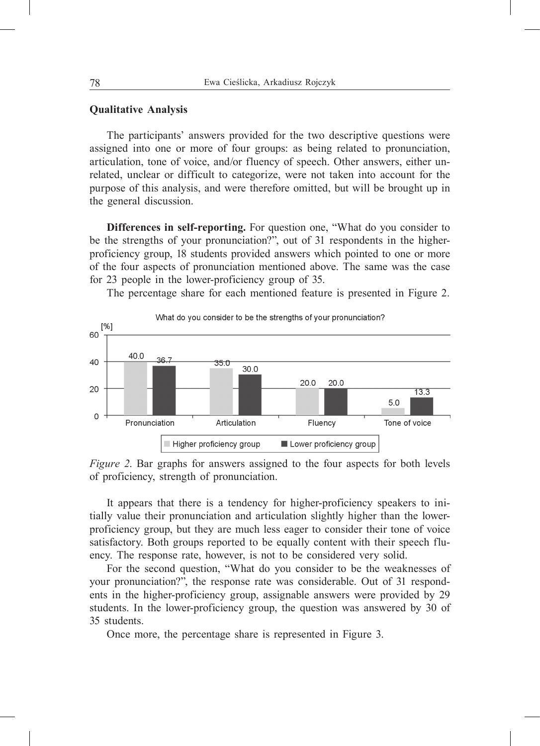#### **Qualitative Analysis**

The participants' answers provided for the two descriptive questions were assigned into one or more of four groups: as being related to pronunciation, articulation, tone of voice, and/or fluency of speech. Other answers, either unrelated, unclear or difficult to categorize, were not taken into account for the purpose of this analysis, and were therefore omitted, but will be brought up in the general discussion.

**Differences in self-reporting.** For question one, "What do you consider to be the strengths of your pronunciation?", out of 31 respondents in the higherproficiency group, 18 students provided answers which pointed to one or more of the four aspects of pronunciation mentioned above. The same was the case for 23 people in the lower-proficiency group of 35.

The percentage share for each mentioned feature is presented in Figure 2.



*Figure 2*. Bar graphs for answers assigned to the four aspects for both levels of proficiency, strength of pronunciation.

It appears that there is a tendency for higher-proficiency speakers to initially value their pronunciation and articulation slightly higher than the lowerproficiency group, but they are much less eager to consider their tone of voice satisfactory. Both groups reported to be equally content with their speech fluency. The response rate, however, is not to be considered very solid.

For the second question, "What do you consider to be the weaknesses of your pronunciation?", the response rate was considerable. Out of 31 respondents in the higher-proficiency group, assignable answers were provided by 29 students. In the lower-proficiency group, the question was answered by 30 of 35 students.

Once more, the percentage share is represented in Figure 3.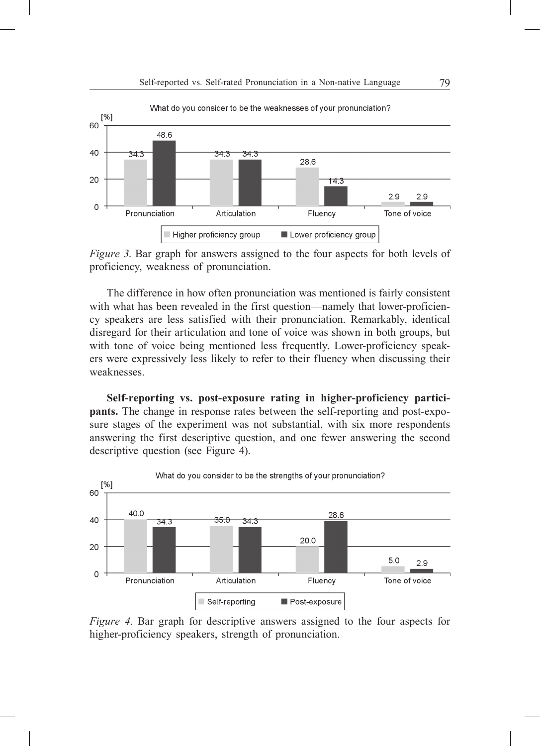

*Figure 3*. Bar graph for answers assigned to the four aspects for both levels of proficiency, weakness of pronunciation.

The difference in how often pronunciation was mentioned is fairly consistent with what has been revealed in the first question—namely that lower-proficiency speakers are less satisfied with their pronunciation. Remarkably, identical disregard for their articulation and tone of voice was shown in both groups, but with tone of voice being mentioned less frequently. Lower-proficiency speakers were expressively less likely to refer to their fluency when discussing their weaknesses.

**Self-reporting vs. post-exposure rating in higher-proficiency participants.** The change in response rates between the self-reporting and post-exposure stages of the experiment was not substantial, with six more respondents answering the first descriptive question, and one fewer answering the second descriptive question (see Figure 4).



*Figure 4*. Bar graph for descriptive answers assigned to the four aspects for higher-proficiency speakers, strength of pronunciation.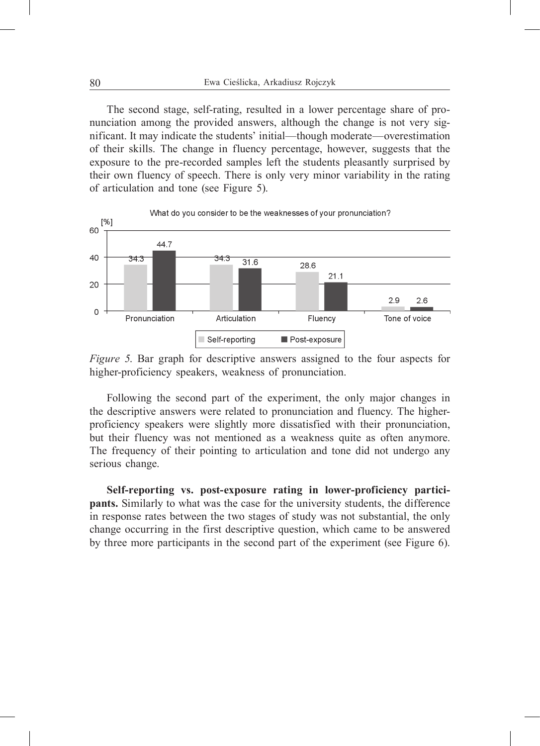The second stage, self-rating, resulted in a lower percentage share of pronunciation among the provided answers, although the change is not very significant. It may indicate the students' initial—though moderate—overestimation of their skills. The change in fluency percentage, however, suggests that the exposure to the pre-recorded samples left the students pleasantly surprised by their own fluency of speech. There is only very minor variability in the rating of articulation and tone (see Figure 5).



*Figure 5*. Bar graph for descriptive answers assigned to the four aspects for higher-proficiency speakers, weakness of pronunciation.

Following the second part of the experiment, the only major changes in the descriptive answers were related to pronunciation and fluency. The higherproficiency speakers were slightly more dissatisfied with their pronunciation, but their fluency was not mentioned as a weakness quite as often anymore. The frequency of their pointing to articulation and tone did not undergo any serious change.

**Self-reporting vs. post-exposure rating in lower-proficiency participants.** Similarly to what was the case for the university students, the difference in response rates between the two stages of study was not substantial, the only change occurring in the first descriptive question, which came to be answered by three more participants in the second part of the experiment (see Figure 6).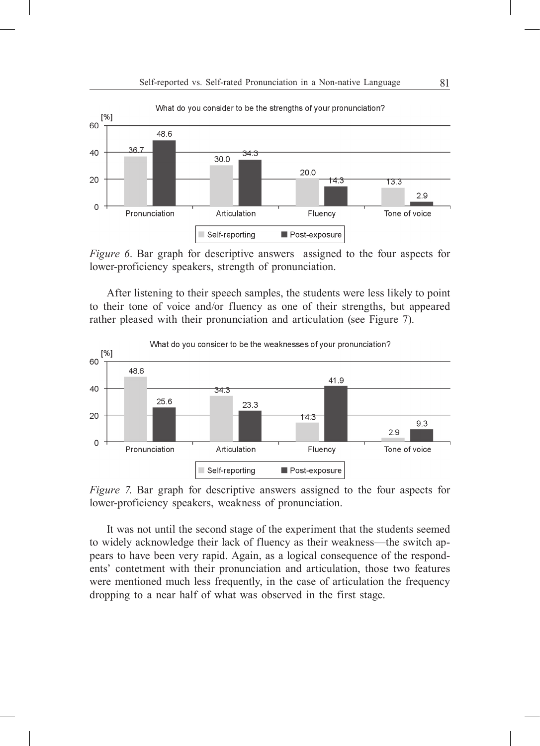

*Figure 6*. Bar graph for descriptive answers assigned to the four aspects for lower-proficiency speakers, strength of pronunciation.

After listening to their speech samples, the students were less likely to point to their tone of voice and/or fluency as one of their strengths, but appeared rather pleased with their pronunciation and articulation (see Figure 7).



*Figure 7*. Bar graph for descriptive answers assigned to the four aspects for lower-proficiency speakers, weakness of pronunciation.

It was not until the second stage of the experiment that the students seemed to widely acknowledge their lack of fluency as their weakness—the switch appears to have been very rapid. Again, as a logical consequence of the respondents' contetment with their pronunciation and articulation, those two features were mentioned much less frequently, in the case of articulation the frequency dropping to a near half of what was observed in the first stage.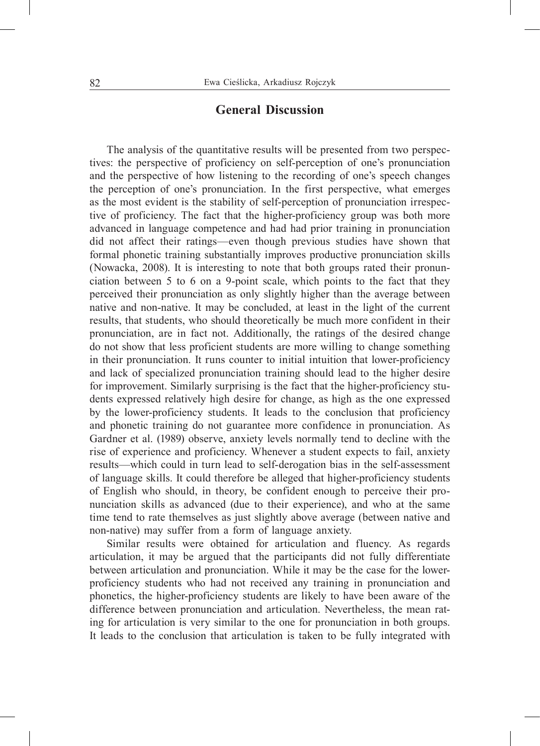# **General Discussion**

The analysis of the quantitative results will be presented from two perspectives: the perspective of proficiency on self-perception of one's pronunciation and the perspective of how listening to the recording of one's speech changes the perception of one's pronunciation. In the first perspective, what emerges as the most evident is the stability of self-perception of pronunciation irrespective of proficiency. The fact that the higher-proficiency group was both more advanced in language competence and had had prior training in pronunciation did not affect their ratings—even though previous studies have shown that formal phonetic training substantially improves productive pronunciation skills (Nowacka, 2008). It is interesting to note that both groups rated their pronunciation between 5 to 6 on a 9-point scale, which points to the fact that they perceived their pronunciation as only slightly higher than the average between native and non-native. It may be concluded, at least in the light of the current results, that students, who should theoretically be much more confident in their pronunciation, are in fact not. Additionally, the ratings of the desired change do not show that less proficient students are more willing to change something in their pronunciation. It runs counter to initial intuition that lower-proficiency and lack of specialized pronunciation training should lead to the higher desire for improvement. Similarly surprising is the fact that the higher-proficiency students expressed relatively high desire for change, as high as the one expressed by the lower-proficiency students. It leads to the conclusion that proficiency and phonetic training do not guarantee more confidence in pronunciation. As Gardner et al. (1989) observe, anxiety levels normally tend to decline with the rise of experience and proficiency. Whenever a student expects to fail, anxiety results—which could in turn lead to self-derogation bias in the self-assessment of language skills. It could therefore be alleged that higher-proficiency students of English who should, in theory, be confident enough to perceive their pronunciation skills as advanced (due to their experience), and who at the same time tend to rate themselves as just slightly above average (between native and non-native) may suffer from a form of language anxiety.

Similar results were obtained for articulation and fluency. As regards articulation, it may be argued that the participants did not fully differentiate between articulation and pronunciation. While it may be the case for the lowerproficiency students who had not received any training in pronunciation and phonetics, the higher-proficiency students are likely to have been aware of the difference between pronunciation and articulation. Nevertheless, the mean rating for articulation is very similar to the one for pronunciation in both groups. It leads to the conclusion that articulation is taken to be fully integrated with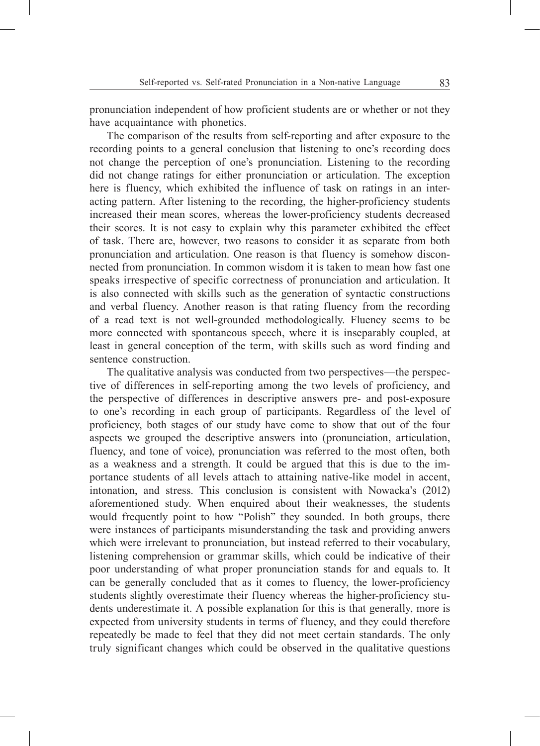pronunciation independent of how proficient students are or whether or not they have acquaintance with phonetics.

The comparison of the results from self-reporting and after exposure to the recording points to a general conclusion that listening to one's recording does not change the perception of one's pronunciation. Listening to the recording did not change ratings for either pronunciation or articulation. The exception here is fluency, which exhibited the influence of task on ratings in an interacting pattern. After listening to the recording, the higher-proficiency students increased their mean scores, whereas the lower-proficiency students decreased their scores. It is not easy to explain why this parameter exhibited the effect of task. There are, however, two reasons to consider it as separate from both pronunciation and articulation. One reason is that fluency is somehow disconnected from pronunciation. In common wisdom it is taken to mean how fast one speaks irrespective of specific correctness of pronunciation and articulation. It is also connected with skills such as the generation of syntactic constructions and verbal fluency. Another reason is that rating fluency from the recording of a read text is not well-grounded methodologically. Fluency seems to be more connected with spontaneous speech, where it is inseparably coupled, at least in general conception of the term, with skills such as word finding and sentence construction.

The qualitative analysis was conducted from two perspectives—the perspective of differences in self-reporting among the two levels of proficiency, and the perspective of differences in descriptive answers pre- and post-exposure to one's recording in each group of participants. Regardless of the level of proficiency, both stages of our study have come to show that out of the four aspects we grouped the descriptive answers into (pronunciation, articulation, fluency, and tone of voice), pronunciation was referred to the most often, both as a weakness and a strength. It could be argued that this is due to the importance students of all levels attach to attaining native-like model in accent, intonation, and stress. This conclusion is consistent with Nowacka's (2012) aforementioned study. When enquired about their weaknesses, the students would frequently point to how "Polish" they sounded. In both groups, there were instances of participants misunderstanding the task and providing anwers which were irrelevant to pronunciation, but instead referred to their vocabulary, listening comprehension or grammar skills, which could be indicative of their poor understanding of what proper pronunciation stands for and equals to. It can be generally concluded that as it comes to fluency, the lower-proficiency students slightly overestimate their fluency whereas the higher-proficiency students underestimate it. A possible explanation for this is that generally, more is expected from university students in terms of fluency, and they could therefore repeatedly be made to feel that they did not meet certain standards. The only truly significant changes which could be observed in the qualitative questions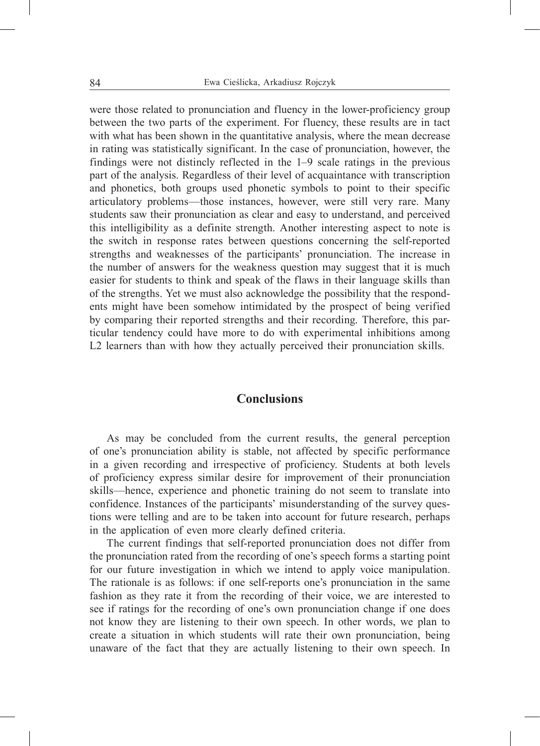were those related to pronunciation and fluency in the lower-proficiency group between the two parts of the experiment. For fluency, these results are in tact with what has been shown in the quantitative analysis, where the mean decrease in rating was statistically significant. In the case of pronunciation, however, the findings were not distincly reflected in the 1–9 scale ratings in the previous part of the analysis. Regardless of their level of acquaintance with transcription and phonetics, both groups used phonetic symbols to point to their specific articulatory problems—those instances, however, were still very rare. Many students saw their pronunciation as clear and easy to understand, and perceived this intelligibility as a definite strength. Another interesting aspect to note is the switch in response rates between questions concerning the self-reported strengths and weaknesses of the participants' pronunciation. The increase in the number of answers for the weakness question may suggest that it is much easier for students to think and speak of the flaws in their language skills than of the strengths. Yet we must also acknowledge the possibility that the respondents might have been somehow intimidated by the prospect of being verified by comparing their reported strengths and their recording. Therefore, this particular tendency could have more to do with experimental inhibitions among L2 learners than with how they actually perceived their pronunciation skills.

## **Conclusions**

As may be concluded from the current results, the general perception of one's pronunciation ability is stable, not affected by specific performance in a given recording and irrespective of proficiency. Students at both levels of proficiency express similar desire for improvement of their pronunciation skills—hence, experience and phonetic training do not seem to translate into confidence. Instances of the participants' misunderstanding of the survey questions were telling and are to be taken into account for future research, perhaps in the application of even more clearly defined criteria.

The current findings that self-reported pronunciation does not differ from the pronunciation rated from the recording of one's speech forms a starting point for our future investigation in which we intend to apply voice manipulation. The rationale is as follows: if one self-reports one's pronunciation in the same fashion as they rate it from the recording of their voice, we are interested to see if ratings for the recording of one's own pronunciation change if one does not know they are listening to their own speech. In other words, we plan to create a situation in which students will rate their own pronunciation, being unaware of the fact that they are actually listening to their own speech. In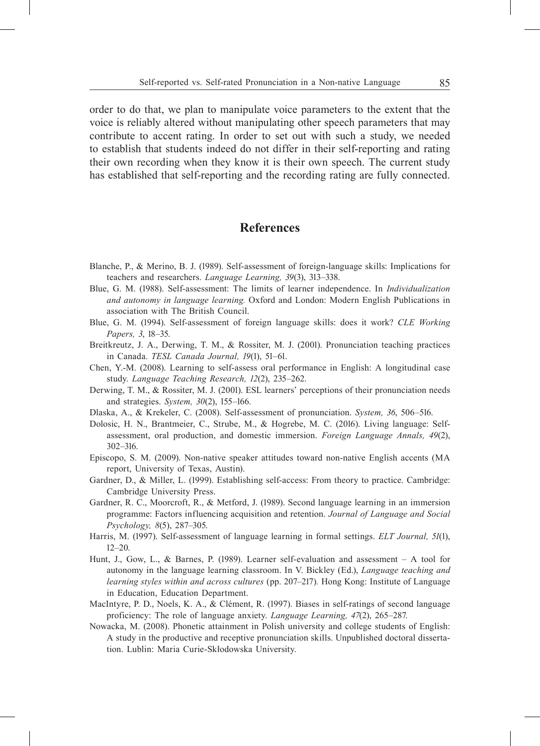order to do that, we plan to manipulate voice parameters to the extent that the voice is reliably altered without manipulating other speech parameters that may contribute to accent rating. In order to set out with such a study, we needed to establish that students indeed do not differ in their self-reporting and rating their own recording when they know it is their own speech. The current study has established that self-reporting and the recording rating are fully connected.

# **References**

- Blanche, P., & Merino, B. J. (1989). Self-assessment of foreign-language skills: Implications for teachers and researchers. *Language Learning, 39*(3), 313–338.
- Blue, G. M. (1988). Self-assessment: The limits of learner independence. In *Individualization and autonomy in language learning.* Oxford and London: Modern English Publications in association with The British Council.
- Blue, G. M. (1994). Self-assessment of foreign language skills: does it work? *CLE Working Papers, 3*, 18–35.
- Breitkreutz, J. A., Derwing, T. M., & Rossiter, M. J. (2001). Pronunciation teaching practices in Canada. *TESL Canada Journal, 19*(1), 51–61.
- Chen, Y.-M. (2008). Learning to self-assess oral performance in English: A longitudinal case study. *Language Teaching Research, 12*(2), 235–262.
- Derwing, T. M., & Rossiter, M. J. (2001). ESL learners' perceptions of their pronunciation needs and strategies. *System, 30*(2), 155–166.
- Dlaska, A., & Krekeler, C. (2008). Self-assessment of pronunciation. *System, 36*, 506–516.
- Dolosic, H. N., Brantmeier, C., Strube, M., & Hogrebe, M. C. (2016). Living language: Selfassessment, oral production, and domestic immersion. *Foreign Language Annals, 49*(2), 302–316.
- Episcopo, S. M. (2009). Non-native speaker attitudes toward non-native English accents (MA report, University of Texas, Austin).
- Gardner, D., & Miller, L. (1999). Establishing self-access: From theory to practice. Cambridge: Cambridge University Press.
- Gardner, R. C., Moorcroft, R., & Metford, J. (1989). Second language learning in an immersion programme: Factors influencing acquisition and retention. *Journal of Language and Social Psychology, 8*(5), 287–305.
- Harris, M. (1997). Self-assessment of language learning in formal settings. *ELT Journal, 51*(1),  $12 - 20$
- Hunt, J., Gow, L., & Barnes, P. (1989). Learner self-evaluation and assessment A tool for autonomy in the language learning classroom. In V. Bickley (Ed.), *Language teaching and learning styles within and across cultures* (pp. 207–217)*.* Hong Kong: Institute of Language in Education, Education Department.
- MacIntyre, P. D., Noels, K. A., & Clément, R. (1997). Biases in self-ratings of second language proficiency: The role of language anxiety. *Language Learning, 47*(2), 265–287.
- Nowacka, M. (2008). Phonetic attainment in Polish university and college students of English: A study in the productive and receptive pronunciation skills. Unpublished doctoral dissertation. Lublin: Maria Curie-Skłodowska University.